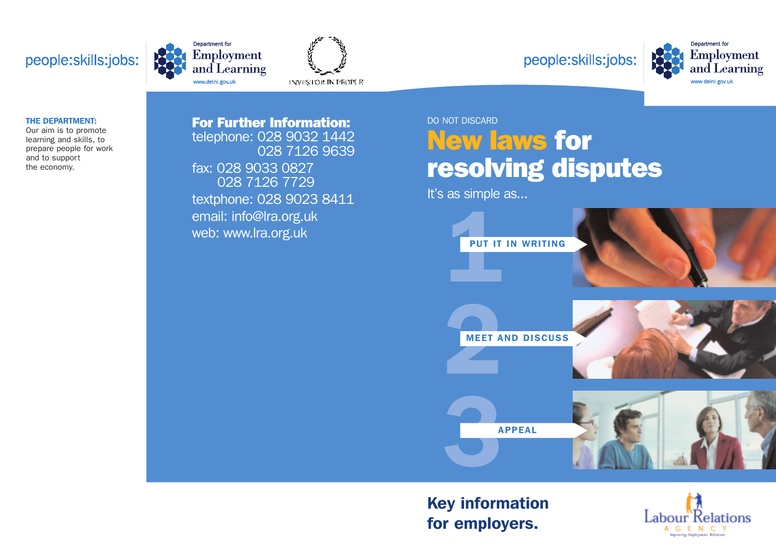# people:skills:jobs:









#### **THE DEPARTMENT:**

Our aim is to promote learning and skills, to prepare people for work and to support the economy.

## **For Further Information:** DO NOT DISCARD telephone: 028 9032 1442 028 7126 9639 fax: 028 9033 0827 028 7126 7729 textphone: 028 9023 8411 email: info@lra.org.uk web: www.lra.org.uk

# **New laws for resolving disputes**

It's as simple as...



# **Key information**

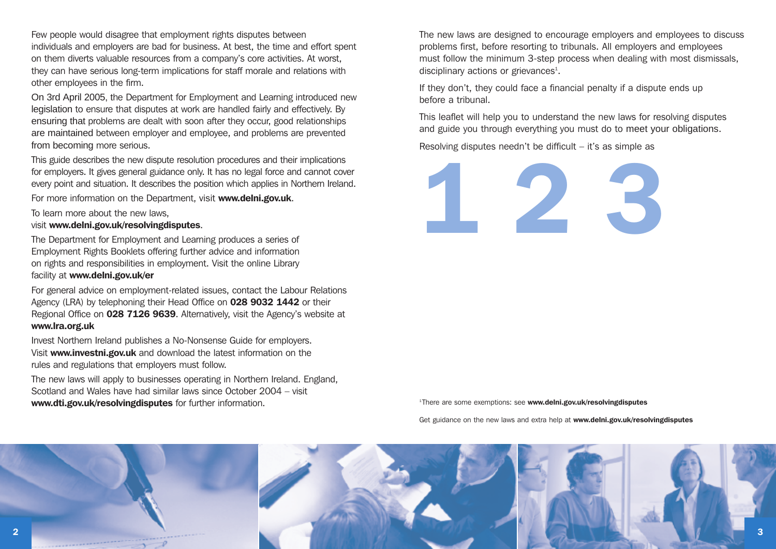Few people would disagree that employment rights disputes between individuals and employers are bad for business. At best, the time and effort spent on them diverts valuable resources from a company's core activities. At worst, they can have serious long-term implications for staff morale and relations with other employees in the firm.

On 3rd April 2005, the Department for Employment and Learning introduced new legislation to ensure that disputes at work are handled fairly and effectively. By ensuring that problems are dealt with soon after they occur, good relationships are maintained between employer and employee, and problems are prevented from becoming more serious.

This guide describes the new dispute resolution procedures and their implications for employers. It gives general guidance only. It has no legal force and cannot cover every point and situation. It describes the position which applies in Northern Ireland.

For more information on the Department, visit **www.delni.gov.uk**.

To learn more about the new laws,

#### visit **www.delni.gov.uk/resolvingdisputes**.

The Department for Employment and Learning produces a series of Employment Rights Booklets offering further advice and information on rights and responsibilities in employment. Visit the online Library facility at **www.delni.gov.uk/er**

For general advice on employment-related issues, contact the Labour Relations Agency (LRA) by telephoning their Head Office on **028 9032 1442** or their Regional Office on **028 7126 9639**. Alternatively, visit the Agency's website at **www.lra.org.uk**

Invest Northern Ireland publishes a No-Nonsense Guide for employers. Visit **www.investni.gov.uk** and download the latest information on the rules and regulations that employers must follow.

The new laws will apply to businesses operating in Northern Ireland. England, Scotland and Wales have had similar laws since October 2004 – visit **www.dti.gov.uk/resolvingdisputes** for further information.

The new laws are designed to encourage employers and employees to discuss problems first, before resorting to tribunals. All employers and employees must follow the minimum 3-step process when dealing with most dismissals, disciplinary actions or grievances<sup>1</sup>.

If they don't, they could face a financial penalty if a dispute ends up before a tribunal.

This leaflet will help you to understand the new laws for resolving disputes and guide you through everything you must do to meet your obligations.

Resolving disputes needn't be difficult – it's as simple as



<sup>1</sup> There are some exemptions: see **www.delni.gov.uk/resolvingdisputes**

Get guidance on the new laws and extra help at **www.delni.gov.uk/resolvingdisputes**

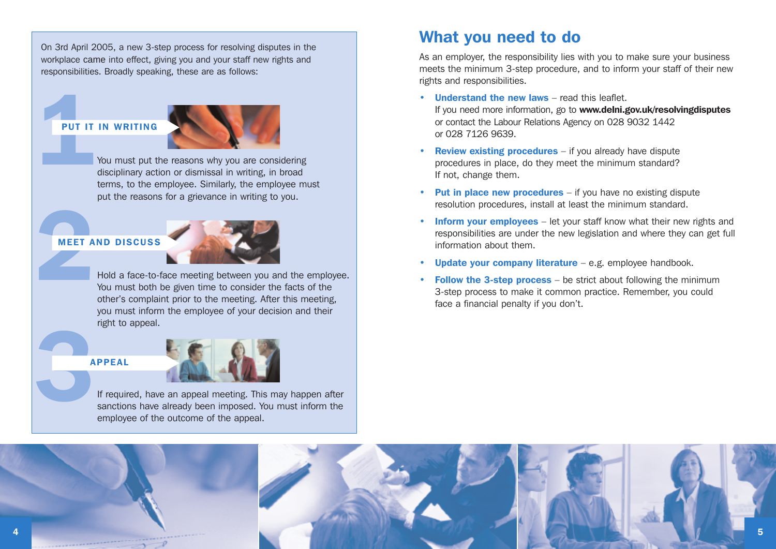On 3rd April 2005, a new 3-step process for resolving disputes in the workplace came into effect, giving you and your staff new rights and responsibilities. Broadly speaking, these are as follows:

## **PUT IT IN WRITING**



**PUT IT IN WRITING**<br>You must put the reasons why you are considering<br>disciplinary action or dismissal in writing, in broad<br>terms, to the employee. Similarly, the employee mu disciplinary action or dismissal in writing, in broad terms, to the employee. Similarly, the employee must put the reasons for a grievance in writing to you.

## **MEET AND DISCUSS**



**22 Hold a face-to-face meeting between you and the employee.**<br>**22 Hold a face-to-face meeting between you and the employee.**<br>You must both be given time to consider the facts of the<br>other's complaint prior to the meeting. You must both be given time to consider the facts of the other's complaint prior to the meeting. After this meeting, you must inform the employee of your decision and their right to appeal.

#### **APPEAL**



**3**If required, have an appeal meeting. This may happen after sanctions have already been imposed. You must inform the employee of the outcome of the appeal.

## **What you need to do**

As an employer, the responsibility lies with you to make sure your business meets the minimum 3-step procedure, and to inform your staff of their new rights and responsibilities.

- **Understand the new laws** read this leaflet. If you need more information, go to **www.delni.gov.uk/resolvingdisputes** or contact the Labour Relations Agency on 028 9032 1442 or 028 7126 9639.
- **Review existing procedures** if you already have dispute procedures in place, do they meet the minimum standard? If not, change them.
- **Put in place new procedures** if you have no existing dispute resolution procedures, install at least the minimum standard.
- **Inform your employees** let your staff know what their new rights and responsibilities are under the new legislation and where they can get full information about them.
- **Update your company literature** e.g. employee handbook.
- **Follow the 3-step process** be strict about following the minimum 3-step process to make it common practice. Remember, you could face a financial penalty if you don't.

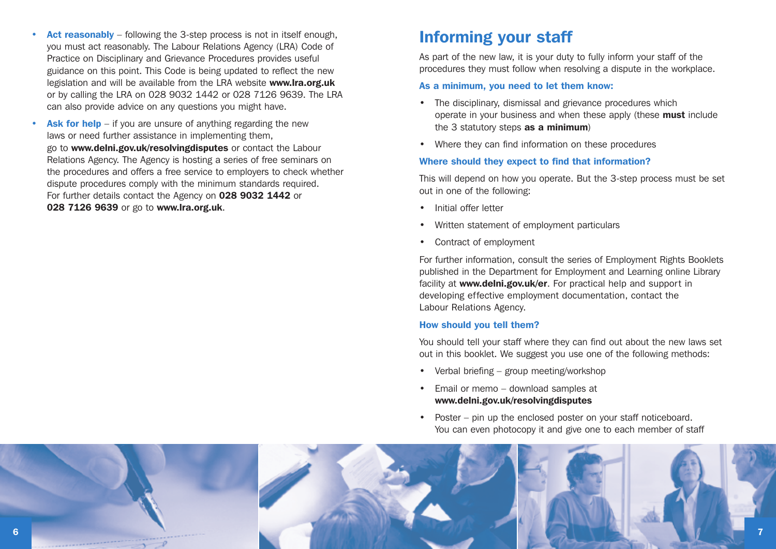- **Act reasonably** following the 3-step process is not in itself enough, you must act reasonably. The Labour Relations Agency (LRA) Code of Practice on Disciplinary and Grievance Procedures provides useful guidance on this point. This Code is being updated to reflect the new legislation and will be available from the LRA website **www.lra.org.uk** or by calling the LRA on 028 9032 1442 or 028 7126 9639. The LRA can also provide advice on any questions you might have.
- **Ask for help** if you are unsure of anything regarding the new laws or need further assistance in implementing them, go to **www.delni.gov.uk/resolvingdisputes** or contact the Labour Relations Agency. The Agency is hosting a series of free seminars on the procedures and offers a free service to employers to check whether dispute procedures comply with the minimum standards required. For further details contact the Agency on **028 9032 1442** or **028 7126 9639** or go to **www.lra.org.uk**.

## **Informing your staff**

As part of the new law, it is your duty to fully inform your staff of the procedures they must follow when resolving a dispute in the workplace.

#### **As a minimum, you need to let them know:**

- The disciplinary, dismissal and grievance procedures which operate in your business and when these apply (these **must** include the 3 statutory steps **as a minimum**)
- Where they can find information on these procedures

#### **Where should they expect to find that information?**

This will depend on how you operate. But the 3-step process must be set out in one of the following:

- Initial offer letter
- Written statement of employment particulars
- Contract of employment

For further information, consult the series of Employment Rights Booklets published in the Department for Employment and Learning online Library facility at **www.delni.gov.uk/er**. For practical help and support in developing effective employment documentation, contact the Labour Relations Agency.

## **How should you tell them?**

You should tell your staff where they can find out about the new laws set out in this booklet. We suggest you use one of the following methods:

- Verbal briefing group meeting/workshop
- Email or memo download samples at **www.delni.gov.uk/resolvingdisputes**
- Poster pin up the enclosed poster on your staff noticeboard. You can even photocopy it and give one to each member of staff

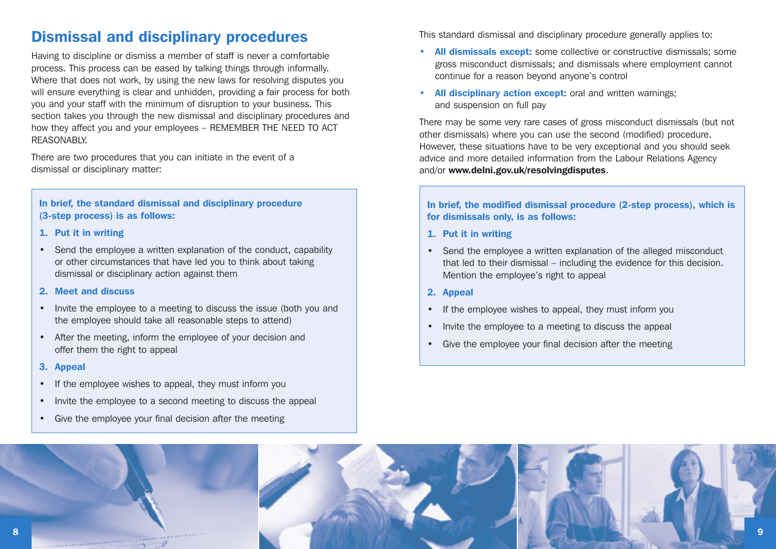## **Dismissal and disciplinary procedures**

Having to discipline or dismiss a member of staff is never a comfortable process. This process can be eased by talking things through informally. Where that does not work, by using the new laws for resolving disputes you will ensure everything is clear and unhidden, providing a fair process for both you and your staff with the minimum of disruption to your business. This section takes you through the new dismissal and disciplinary procedures and how they affect you and your employees – REMEMBER THE NEED TO ACT **REASONABLY** 

There are two procedures that you can initiate in the event of a dismissal or disciplinary matter:

## **In brief, the standard dismissal and disciplinary procedure (3-step process) is as follows:**

- **1. Put it in writing**
- Send the employee a written explanation of the conduct, capability or other circumstances that have led you to think about taking dismissal or disciplinary action against them
- **2. Meet and discuss**
- Invite the employee to a meeting to discuss the issue (both you and the employee should take all reasonable steps to attend)
- After the meeting, inform the employee of your decision and offer them the right to appeal
- **3. Appeal**
- If the employee wishes to appeal, they must inform you
- Invite the employee to a second meeting to discuss the appeal
- Give the employee your final decision after the meeting

This standard dismissal and disciplinary procedure generally applies to:

- **All dismissals except:** some collective or constructive dismissals; some gross misconduct dismissals; and dismissals where employment cannot continue for a reason beyond anyone's control
- **All disciplinary action except:** oral and written warnings; and suspension on full pay

There may be some very rare cases of gross misconduct dismissals (but not other dismissals) where you can use the second (modified) procedure. However, these situations have to be very exceptional and you should seek advice and more detailed information from the Labour Relations Agency and/or **www.delni.gov.uk/resolvingdisputes**.

**In brief, the modified dismissal procedure (2-step process), which is for dismissals only, is as follows:**

- **1. Put it in writing**
- Send the employee a written explanation of the alleged misconduct that led to their dismissal – including the evidence for this decision. Mention the employee's right to appeal
- **2. Appeal**
- If the employee wishes to appeal, they must inform you
- Invite the employee to a meeting to discuss the appeal
- Give the employee your final decision after the meeting

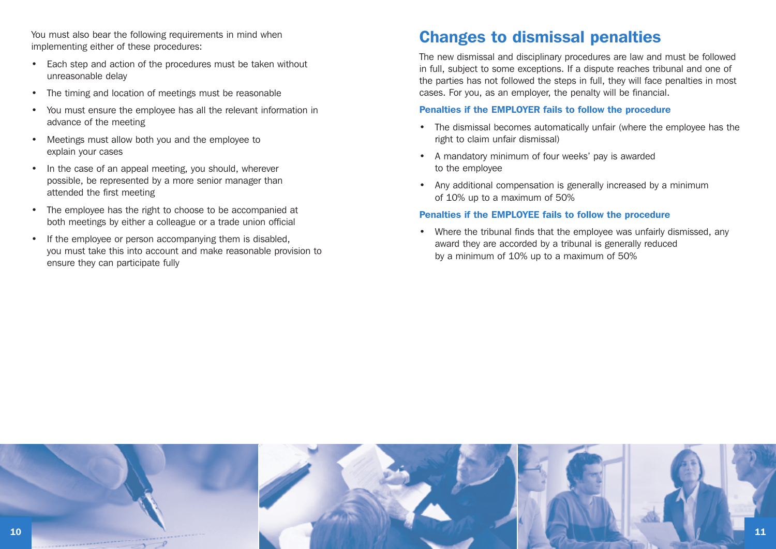You must also bear the following requirements in mind when implementing either of these procedures:

- Each step and action of the procedures must be taken without unreasonable delay
- The timing and location of meetings must be reasonable
- You must ensure the employee has all the relevant information in advance of the meeting
- Meetings must allow both you and the employee to explain your cases
- In the case of an appeal meeting, you should, wherever possible, be represented by a more senior manager than attended the first meeting
- The employee has the right to choose to be accompanied at both meetings by either a colleague or a trade union official
- If the employee or person accompanying them is disabled, you must take this into account and make reasonable provision to ensure they can participate fully

## **Changes to dismissal penalties**

The new dismissal and disciplinary procedures are law and must be followed in full, subject to some exceptions. If a dispute reaches tribunal and one of the parties has not followed the steps in full, they will face penalties in most cases. For you, as an employer, the penalty will be financial.

#### **Penalties if the EMPLOYER fails to follow the procedure**

- The dismissal becomes automatically unfair (where the employee has the right to claim unfair dismissal)
- A mandatory minimum of four weeks' pay is awarded to the employee
- Any additional compensation is generally increased by a minimum of 10% up to a maximum of 50%

#### **Penalties if the EMPLOYEE fails to follow the procedure**

• Where the tribunal finds that the employee was unfairly dismissed, any award they are accorded by a tribunal is generally reduced by a minimum of 10% up to a maximum of 50%

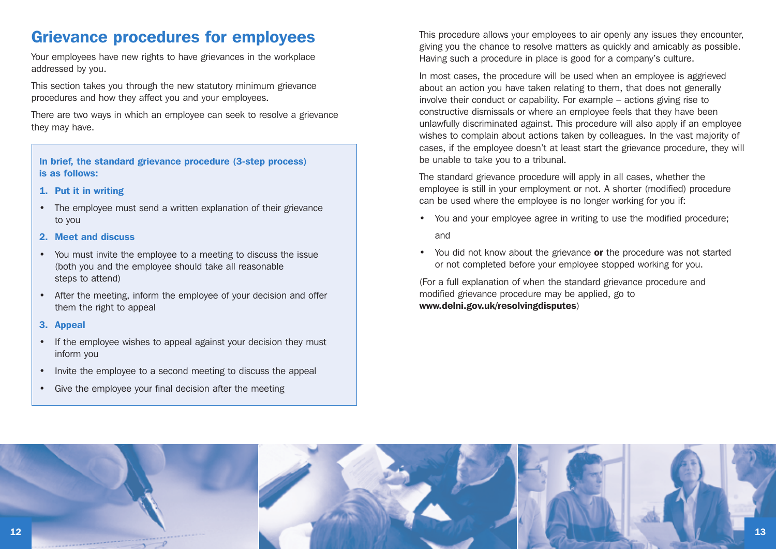## **Grievance procedures for employees**

Your employees have new rights to have grievances in the workplace addressed by you.

This section takes you through the new statutory minimum grievance procedures and how they affect you and your employees.

There are two ways in which an employee can seek to resolve a grievance they may have.

#### **In brief, the standard grievance procedure (3-step process) is as follows:**

#### **1. Put it in writing**

• The employee must send a written explanation of their grievance to you

#### **2. Meet and discuss**

- You must invite the employee to a meeting to discuss the issue (both you and the employee should take all reasonable steps to attend)
- After the meeting, inform the employee of your decision and offer them the right to appeal

#### **3. Appeal**

- If the employee wishes to appeal against your decision they must inform you
- Invite the employee to a second meeting to discuss the appeal
- Give the employee your final decision after the meeting

This procedure allows your employees to air openly any issues they encounter, giving you the chance to resolve matters as quickly and amicably as possible. Having such a procedure in place is good for a company's culture.

In most cases, the procedure will be used when an employee is aggrieved about an action you have taken relating to them, that does not generally involve their conduct or capability. For example – actions giving rise to constructive dismissals or where an employee feels that they have been unlawfully discriminated against. This procedure will also apply if an employee wishes to complain about actions taken by colleagues. In the vast majority of cases, if the employee doesn't at least start the grievance procedure, they will be unable to take you to a tribunal.

The standard grievance procedure will apply in all cases, whether the employee is still in your employment or not. A shorter (modified) procedure can be used where the employee is no longer working for you if:

- You and your employee agree in writing to use the modified procedure; and
- You did not know about the grievance **or** the procedure was not started or not completed before your employee stopped working for you.

(For a full explanation of when the standard grievance procedure and modified grievance procedure may be applied, go to **www.delni.gov.uk/resolvingdisputes**)